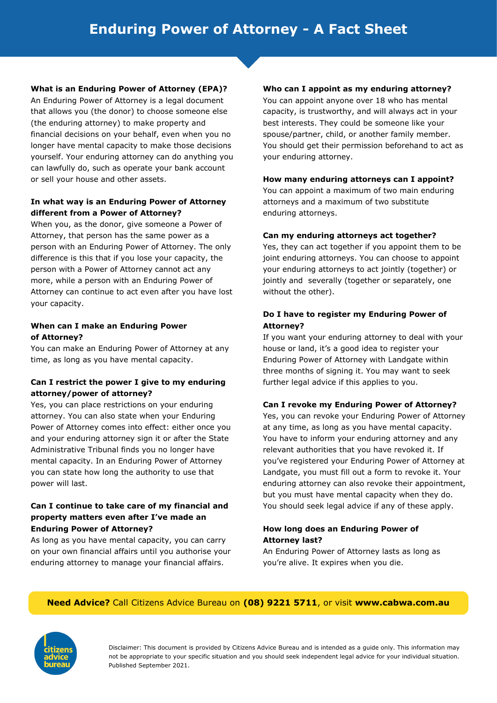## **What is an Enduring Power of Attorney (EPA)?**

An Enduring Power of Attorney is a legal document that allows you (the donor) to choose someone else (the enduring attorney) to make property and financial decisions on your behalf, even when you no longer have mental capacity to make those decisions yourself. Your enduring attorney can do anything you can lawfully do, such as operate your bank account or sell your house and other assets.

## **In what way is an Enduring Power of Attorney different from a Power of Attorney?**

When you, as the donor, give someone a Power of Attorney, that person has the same power as a person with an Enduring Power of Attorney. The only difference is this that if you lose your capacity, the person with a Power of Attorney cannot act any more, while a person with an Enduring Power of Attorney can continue to act even after you have lost your capacity.

## **When can I make an Enduring Power of Attorney?**

You can make an Enduring Power of Attorney at any time, as long as you have mental capacity.

# **Can I restrict the power I give to my enduring attorney/power of attorney?**

Yes, you can place restrictions on your enduring attorney. You can also state when your Enduring Power of Attorney comes into effect: either once you and your enduring attorney sign it or after the State Administrative Tribunal finds you no longer have mental capacity. In an Enduring Power of Attorney you can state how long the authority to use that power will last.

# **Can I continue to take care of my financial and property matters even after I've made an Enduring Power of Attorney?**

As long as you have mental capacity, you can carry on your own financial affairs until you authorise your enduring attorney to manage your financial affairs.

#### **Who can I appoint as my enduring attorney?**

You can appoint anyone over 18 who has mental capacity, is trustworthy, and will always act in your best interests. They could be someone like your spouse/partner, child, or another family member. You should get their permission beforehand to act as your enduring attorney.

## **How many enduring attorneys can I appoint?**

You can appoint a maximum of two main enduring attorneys and a maximum of two substitute enduring attorneys.

## **Can my enduring attorneys act together?**

Yes, they can act together if you appoint them to be joint enduring attorneys. You can choose to appoint your enduring attorneys to act jointly (together) or jointly and severally (together or separately, one without the other).

# **Do I have to register my Enduring Power of Attorney?**

If you want your enduring attorney to deal with your house or land, it's a good idea to register your Enduring Power of Attorney with Landgate within three months of signing it. You may want to seek further legal advice if this applies to you.

#### **Can I revoke my Enduring Power of Attorney?**

Yes, you can revoke your Enduring Power of Attorney at any time, as long as you have mental capacity. You have to inform your enduring attorney and any relevant authorities that you have revoked it. If you've registered your Enduring Power of Attorney at Landgate, you must fill out a form to revoke it. Your enduring attorney can also revoke their appointment, but you must have mental capacity when they do. You should seek legal advice if any of these apply.

#### **How long does an Enduring Power of Attorney last?**

An Enduring Power of Attorney lasts as long as you're alive. It expires when you die.

# **Need Advice?** Call Citizens Advice Bureau on **(08) 9221 5711**, or visit **www.cabwa.com.au**



Disclaimer: This document is provided by Citizens Advice Bureau and is intended as a guide only. This information may not be appropriate to your specific situation and you should seek independent legal advice for your individual situation. Published September 2021.